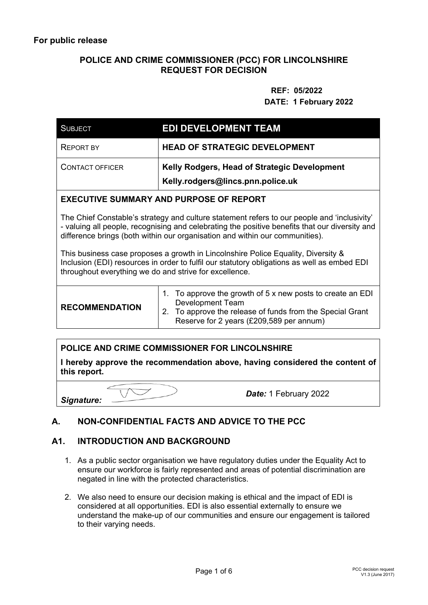## **POLICE AND CRIME COMMISSIONER (PCC) FOR LINCOLNSHIRE REQUEST FOR DECISION**

# **REF: 05/2022 DATE: 1 February 2022**

| <b>SUBJECT</b>                                                                                                                                                                                                                                                                | <b>EDI DEVELOPMENT TEAM</b>                                                                                                                                                                    |  |
|-------------------------------------------------------------------------------------------------------------------------------------------------------------------------------------------------------------------------------------------------------------------------------|------------------------------------------------------------------------------------------------------------------------------------------------------------------------------------------------|--|
| <b>REPORT BY</b>                                                                                                                                                                                                                                                              | <b>HEAD OF STRATEGIC DEVELOPMENT</b>                                                                                                                                                           |  |
| <b>CONTACT OFFICER</b>                                                                                                                                                                                                                                                        | Kelly Rodgers, Head of Strategic Development<br>Kelly.rodgers@lincs.pnn.police.uk                                                                                                              |  |
| <b>EXECUTIVE SUMMARY AND PURPOSE OF REPORT</b>                                                                                                                                                                                                                                |                                                                                                                                                                                                |  |
| The Chief Constable's strategy and culture statement refers to our people and 'inclusivity'<br>- valuing all people, recognising and celebrating the positive benefits that our diversity and<br>difference brings (both within our organisation and within our communities). |                                                                                                                                                                                                |  |
| This business case proposes a growth in Lincolnshire Police Equality, Diversity &<br>Inclusion (EDI) resources in order to fulfil our statutory obligations as well as embed EDI<br>throughout everything we do and strive for excellence.                                    |                                                                                                                                                                                                |  |
| <b>RECOMMENDATION</b>                                                                                                                                                                                                                                                         | 1. To approve the growth of 5 x new posts to create an EDI<br><b>Development Team</b><br>2. To approve the release of funds from the Special Grant<br>Reserve for 2 years (£209,589 per annum) |  |

# **POLICE AND CRIME COMMISSIONER FOR LINCOLNSHIRE**

**I hereby approve the recommendation above, having considered the content of this report.** 

*Signature:* 

*Date:* 1 February 2022

# **A. NON-CONFIDENTIAL FACTS AND ADVICE TO THE PCC**

### **A1. INTRODUCTION AND BACKGROUND**

- 1. As a public sector organisation we have regulatory duties under the Equality Act to ensure our workforce is fairly represented and areas of potential discrimination are negated in line with the protected characteristics.
- 2. We also need to ensure our decision making is ethical and the impact of EDI is considered at all opportunities. EDI is also essential externally to ensure we understand the make-up of our communities and ensure our engagement is tailored to their varying needs.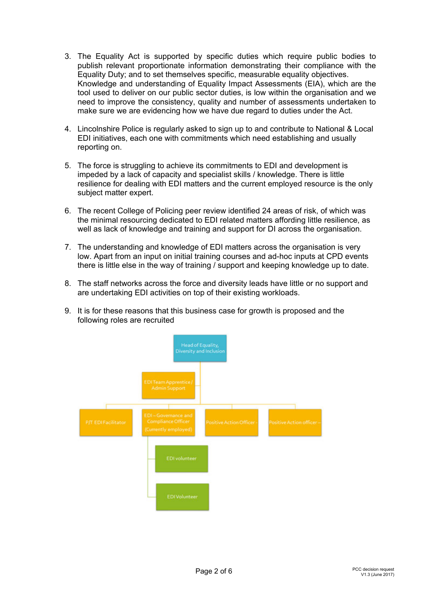- 3. The Equality Act is supported by specific duties which require public bodies to publish relevant proportionate information demonstrating their compliance with the Equality Duty; and to set themselves specific, measurable equality objectives. Knowledge and understanding of Equality Impact Assessments (EIA), which are the tool used to deliver on our public sector duties, is low within the organisation and we need to improve the consistency, quality and number of assessments undertaken to make sure we are evidencing how we have due regard to duties under the Act.
- 4. Lincolnshire Police is regularly asked to sign up to and contribute to National & Local EDI initiatives, each one with commitments which need establishing and usually reporting on.
- 5. The force is struggling to achieve its commitments to EDI and development is impeded by a lack of capacity and specialist skills / knowledge. There is little resilience for dealing with EDI matters and the current employed resource is the only subject matter expert.
- 6. The recent College of Policing peer review identified 24 areas of risk, of which was the minimal resourcing dedicated to EDI related matters affording little resilience, as well as lack of knowledge and training and support for DI across the organisation.
- 7. The understanding and knowledge of EDI matters across the organisation is very low. Apart from an input on initial training courses and ad-hoc inputs at CPD events there is little else in the way of training / support and keeping knowledge up to date.
- 8. The staff networks across the force and diversity leads have little or no support and are undertaking EDI activities on top of their existing workloads.
- 9. It is for these reasons that this business case for growth is proposed and the following roles are recruited

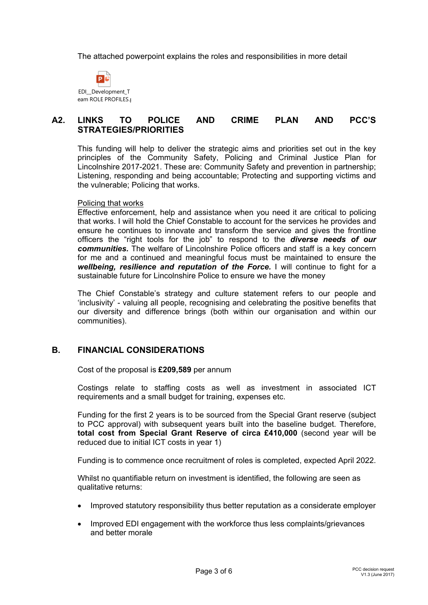The attached powerpoint explains the roles and responsibilities in more detail



### **A2. LINKS TO POLICE AND CRIME PLAN AND PCC'S STRATEGIES/PRIORITIES**

This funding will help to deliver the strategic aims and priorities set out in the key principles of the Community Safety, Policing and Criminal Justice Plan for Lincolnshire 2017-2021. These are: Community Safety and prevention in partnership; Listening, responding and being accountable; Protecting and supporting victims and the vulnerable; Policing that works.

#### Policing that works

Effective enforcement, help and assistance when you need it are critical to policing that works. I will hold the Chief Constable to account for the services he provides and ensure he continues to innovate and transform the service and gives the frontline officers the "right tools for the job" to respond to the *diverse needs of our communities.* The welfare of Lincolnshire Police officers and staff is a key concern for me and a continued and meaningful focus must be maintained to ensure the *wellbeing, resilience and reputation of the Force.* I will continue to fight for a sustainable future for Lincolnshire Police to ensure we have the money

The Chief Constable's strategy and culture statement refers to our people and 'inclusivity' - valuing all people, recognising and celebrating the positive benefits that our diversity and difference brings (both within our organisation and within our communities).

### **B. FINANCIAL CONSIDERATIONS**

Cost of the proposal is **£209,589** per annum

Costings relate to staffing costs as well as investment in associated ICT requirements and a small budget for training, expenses etc.

Funding for the first 2 years is to be sourced from the Special Grant reserve (subject to PCC approval) with subsequent years built into the baseline budget. Therefore, **total cost from Special Grant Reserve of circa £410,000** (second year will be reduced due to initial ICT costs in year 1)

Funding is to commence once recruitment of roles is completed, expected April 2022.

Whilst no quantifiable return on investment is identified, the following are seen as qualitative returns:

- Improved statutory responsibility thus better reputation as a considerate employer
- Improved EDI engagement with the workforce thus less complaints/grievances and better morale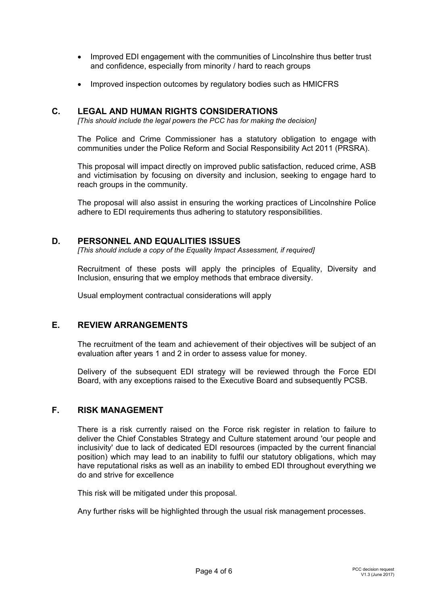- Improved EDI engagement with the communities of Lincolnshire thus better trust and confidence, especially from minority / hard to reach groups
- Improved inspection outcomes by regulatory bodies such as HMICFRS

### **C. LEGAL AND HUMAN RIGHTS CONSIDERATIONS**

*[This should include the legal powers the PCC has for making the decision]*

The Police and Crime Commissioner has a statutory obligation to engage with communities under the Police Reform and Social Responsibility Act 2011 (PRSRA).

This proposal will impact directly on improved public satisfaction, reduced crime, ASB and victimisation by focusing on diversity and inclusion, seeking to engage hard to reach groups in the community.

The proposal will also assist in ensuring the working practices of Lincolnshire Police adhere to EDI requirements thus adhering to statutory responsibilities.

### **D. PERSONNEL AND EQUALITIES ISSUES**

*[This should include a copy of the Equality Impact Assessment, if required]* 

Recruitment of these posts will apply the principles of Equality, Diversity and Inclusion, ensuring that we employ methods that embrace diversity.

Usual employment contractual considerations will apply

### **E. REVIEW ARRANGEMENTS**

The recruitment of the team and achievement of their objectives will be subject of an evaluation after years 1 and 2 in order to assess value for money.

Delivery of the subsequent EDI strategy will be reviewed through the Force EDI Board, with any exceptions raised to the Executive Board and subsequently PCSB.

### **F. RISK MANAGEMENT**

There is a risk currently raised on the Force risk register in relation to failure to deliver the Chief Constables Strategy and Culture statement around 'our people and inclusivity' due to lack of dedicated EDI resources (impacted by the current financial position) which may lead to an inability to fulfil our statutory obligations, which may have reputational risks as well as an inability to embed EDI throughout everything we do and strive for excellence

This risk will be mitigated under this proposal.

Any further risks will be highlighted through the usual risk management processes.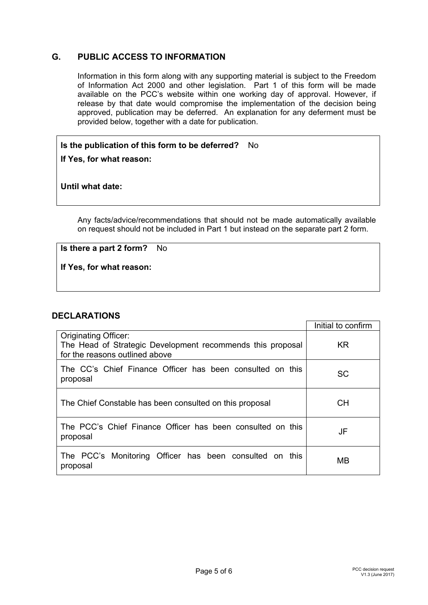## **G. PUBLIC ACCESS TO INFORMATION**

Information in this form along with any supporting material is subject to the Freedom of Information Act 2000 and other legislation. Part 1 of this form will be made available on the PCC's website within one working day of approval. However, if release by that date would compromise the implementation of the decision being approved, publication may be deferred. An explanation for any deferment must be provided below, together with a date for publication.

## **Is the publication of this form to be deferred?** No

**If Yes, for what reason:** 

**Until what date:** 

Any facts/advice/recommendations that should not be made automatically available on request should not be included in Part 1 but instead on the separate part 2 form.

**Is there a part 2 form?** No

**If Yes, for what reason:**

### **DECLARATIONS**

|                                                                                                                             | Initial to confirm |
|-----------------------------------------------------------------------------------------------------------------------------|--------------------|
| <b>Originating Officer:</b><br>The Head of Strategic Development recommends this proposal<br>for the reasons outlined above | <b>KR</b>          |
| The CC's Chief Finance Officer has been consulted on this<br>proposal                                                       | <b>SC</b>          |
| The Chief Constable has been consulted on this proposal                                                                     | <b>CH</b>          |
| The PCC's Chief Finance Officer has been consulted on this<br>proposal                                                      | JF                 |
| The PCC's Monitoring Officer has been consulted on this<br>proposal                                                         | MВ                 |